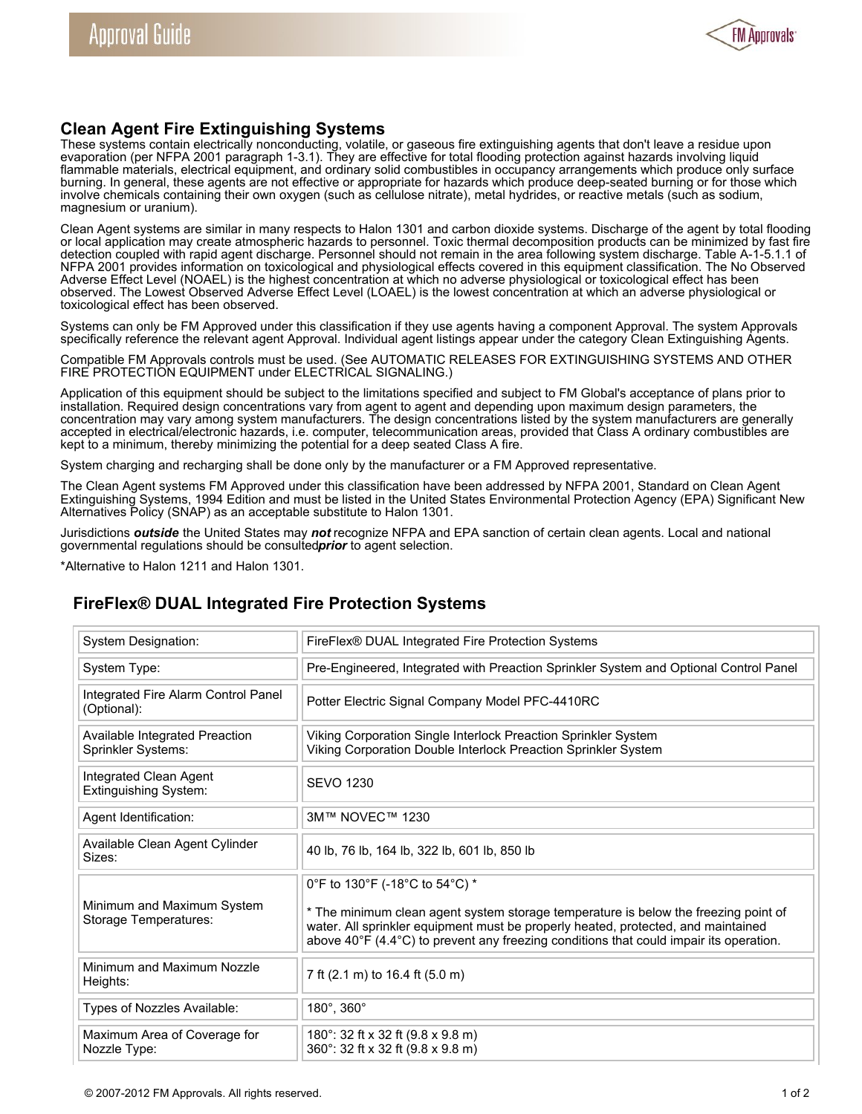

## **Clean Agent Fire Extinguishing Systems**

These systems contain electrically nonconducting, volatile, or gaseous fire extinguishing agents that don't leave a residue upon evaporation (per NFPA 2001 paragraph 1-3.1). They are effective for total flooding protection against hazards involving liquid flammable materials, electrical equipment, and ordinary solid combustibles in occupancy arrangements which produce only surface burning. In general, these agents are not effective or appropriate for hazards which produce deep-seated burning or for those which involve chemicals containing their own oxygen (such as cellulose nitrate), metal hydrides, or reactive metals (such as sodium, magnesium or uranium).

Clean Agent systems are similar in many respects to Halon 1301 and carbon dioxide systems. Discharge of the agent by total flooding or local application may create atmospheric hazards to personnel. Toxic thermal decomposition products can be minimized by fast fire detection coupled with rapid agent discharge. Personnel should not remain in the area following system discharge. Table A-1-5.1.1 of NFPA 2001 provides information on toxicological and physiological effects covered in this equipment classification. The No Observed Adverse Effect Level (NOAEL) is the highest concentration at which no adverse physiological or toxicological effect has been observed. The Lowest Observed Adverse Effect Level (LOAEL) is the lowest concentration at which an adverse physiological or toxicological effect has been observed.

Systems can only be FM Approved under this classification if they use agents having a component Approval. The system Approvals specifically reference the relevant agent Approval. Individual agent listings appear under the category Clean Extinguishing Agents.

Compatible FM Approvals controls must be used. (See AUTOMATIC RELEASES FOR EXTINGUISHING SYSTEMS AND OTHER FIRE PROTECTION EQUIPMENT under ELECTRICAL SIGNALING.)

Application of this equipment should be subject to the limitations specified and subject to FM Global's acceptance of plans prior to installation. Required design concentrations vary from agent to agent and depending upon maximum design parameters, the concentration may vary among system manufacturers. The design concentrations listed by the system manufacturers are generally accepted in electrical/electronic hazards, i.e. computer, telecommunication areas, provided that Class A ordinary combustibles are kept to a minimum, thereby minimizing the potential for a deep seated Class A fire.

System charging and recharging shall be done only by the manufacturer or a FM Approved representative.

The Clean Agent systems FM Approved under this classification have been addressed by NFPA 2001, Standard on Clean Agent Extinguishing Systems, 1994 Edition and must be listed in the United States Environmental Protection Agency (EPA) Significant New Alternatives Policy (SNAP) as an acceptable substitute to Halon 1301.

Jurisdictions *outside* the United States may *not* recognize NFPA and EPA sanction of certain clean agents. Local and national governmental regulations should be consulted *prior* to agent selection.

\*Alternative to Halon 1211 and Halon 1301.

## **FireFlex® DUAL Integrated Fire Protection Systems**

| <b>System Designation:</b>                           | FireFlex® DUAL Integrated Fire Protection Systems                                                                                                                                                                                                                                                    |
|------------------------------------------------------|------------------------------------------------------------------------------------------------------------------------------------------------------------------------------------------------------------------------------------------------------------------------------------------------------|
| System Type:                                         | Pre-Engineered, Integrated with Preaction Sprinkler System and Optional Control Panel                                                                                                                                                                                                                |
| Integrated Fire Alarm Control Panel<br>(Optional):   | Potter Electric Signal Company Model PFC-4410RC                                                                                                                                                                                                                                                      |
| Available Integrated Preaction<br>Sprinkler Systems: | Viking Corporation Single Interlock Preaction Sprinkler System<br>Viking Corporation Double Interlock Preaction Sprinkler System                                                                                                                                                                     |
| Integrated Clean Agent<br>Extinguishing System:      | <b>SEVO 1230</b>                                                                                                                                                                                                                                                                                     |
| Agent Identification:                                | 3M™ NOVEC™ 1230                                                                                                                                                                                                                                                                                      |
| Available Clean Agent Cylinder<br>Sizes:             | 40 lb, 76 lb, 164 lb, 322 lb, 601 lb, 850 lb                                                                                                                                                                                                                                                         |
| Minimum and Maximum System<br>Storage Temperatures:  | 0°F to 130°F (-18°C to 54°C) *<br>* The minimum clean agent system storage temperature is below the freezing point of<br>water. All sprinkler equipment must be properly heated, protected, and maintained<br>above 40°F (4.4°C) to prevent any freezing conditions that could impair its operation. |
| Minimum and Maximum Nozzle<br>Heights:               | 7 ft (2.1 m) to 16.4 ft (5.0 m)                                                                                                                                                                                                                                                                      |
| Types of Nozzles Available:                          | 180°, 360°                                                                                                                                                                                                                                                                                           |
| Maximum Area of Coverage for<br>Nozzle Type:         | 180°: 32 ft x 32 ft (9.8 x 9.8 m)<br>360°: 32 ft x 32 ft (9.8 x 9.8 m)                                                                                                                                                                                                                               |